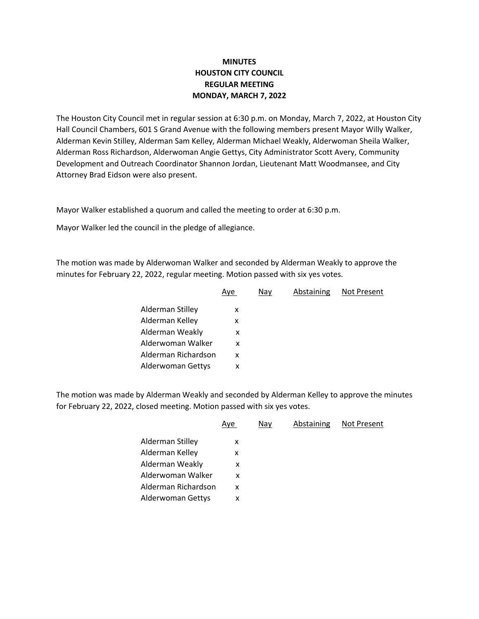## **MINUTES HOUSTON CITY COUNCIL REGULAR MEETING MONDAY, MARCH 7, 2022**

The Houston City Council met in regular session at 6:30 p.m. on Monday, March 7, 2022, at Houston City Hall Council Chambers, 601 S Grand Avenue with the following members present Mayor Willy Walker, Alderman Kevin Stilley, Alderman Sam Kelley, Alderman Michael Weakly, Alderwoman Sheila Walker, Alderman Ross Richardson, Alderwoman Angie Gettys, City Administrator Scott Avery, Community Development and Outreach Coordinator Shannon Jordan, Lieutenant Matt Woodmansee, and City Attorney Brad Eidson were also present.

Mayor Walker established a quorum and called the meeting to order at 6:30 p.m.

Mayor Walker led the council in the pledge of allegiance.

The motion was made by Alderwoman Walker and seconded by Alderman Weakly to approve the minutes for February 22, 2022, regular meeting. Motion passed with six yes votes.

|                     | Aye | Nay | Abstaining | Not Present |
|---------------------|-----|-----|------------|-------------|
| Alderman Stilley    | x   |     |            |             |
| Alderman Kelley     | X   |     |            |             |
| Alderman Weakly     | x   |     |            |             |
| Alderwoman Walker   | x   |     |            |             |
| Alderman Richardson | X   |     |            |             |
| Alderwoman Gettys   | x   |     |            |             |
|                     |     |     |            |             |

The motion was made by Alderman Weakly and seconded by Alderman Kelley to approve the minutes for February 22, 2022, closed meeting. Motion passed with six yes votes.

|                     | Aye | Nay | Abstaining | <b>Not Present</b> |
|---------------------|-----|-----|------------|--------------------|
| Alderman Stilley    | х   |     |            |                    |
| Alderman Kelley     | x   |     |            |                    |
| Alderman Weakly     | x   |     |            |                    |
| Alderwoman Walker   | X   |     |            |                    |
| Alderman Richardson | x   |     |            |                    |
| Alderwoman Gettys   | x   |     |            |                    |
|                     |     |     |            |                    |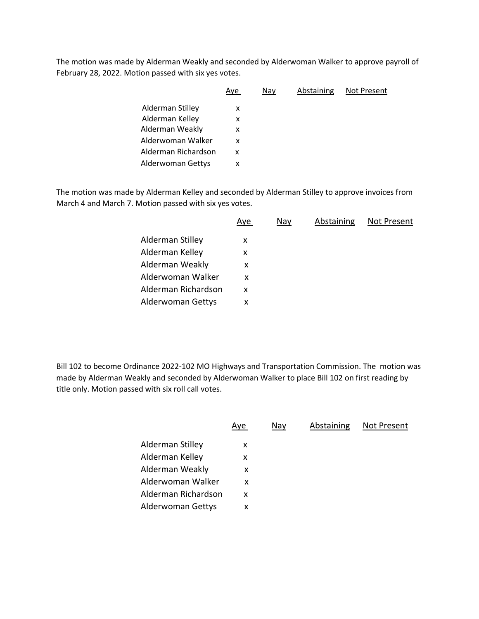The motion was made by Alderman Weakly and seconded by Alderwoman Walker to approve payroll of February 28, 2022. Motion passed with six yes votes.

|                     | Aye | Nay | Abstaining | <b>Not Present</b> |
|---------------------|-----|-----|------------|--------------------|
| Alderman Stilley    | x   |     |            |                    |
| Alderman Kelley     | x   |     |            |                    |
| Alderman Weakly     | x   |     |            |                    |
| Alderwoman Walker   | x   |     |            |                    |
| Alderman Richardson | x   |     |            |                    |
| Alderwoman Gettys   | x   |     |            |                    |
|                     |     |     |            |                    |

The motion was made by Alderman Kelley and seconded by Alderman Stilley to approve invoices from March 4 and March 7. Motion passed with six yes votes.

|                     | Aye | Nay | Abstaining | Not Present |
|---------------------|-----|-----|------------|-------------|
| Alderman Stilley    | x   |     |            |             |
| Alderman Kelley     | х   |     |            |             |
| Alderman Weakly     | x   |     |            |             |
| Alderwoman Walker   | X   |     |            |             |
| Alderman Richardson | X   |     |            |             |
| Alderwoman Gettys   | x   |     |            |             |

Bill 102 to become Ordinance 2022-102 MO Highways and Transportation Commission. The motion was made by Alderman Weakly and seconded by Alderwoman Walker to place Bill 102 on first reading by title only. Motion passed with six roll call votes.

|                     | Aye | Nav | Abstaining | Not Present |
|---------------------|-----|-----|------------|-------------|
| Alderman Stilley    | x   |     |            |             |
| Alderman Kelley     | x   |     |            |             |
| Alderman Weakly     | x   |     |            |             |
| Alderwoman Walker   | x   |     |            |             |
| Alderman Richardson | x   |     |            |             |
| Alderwoman Gettys   | x   |     |            |             |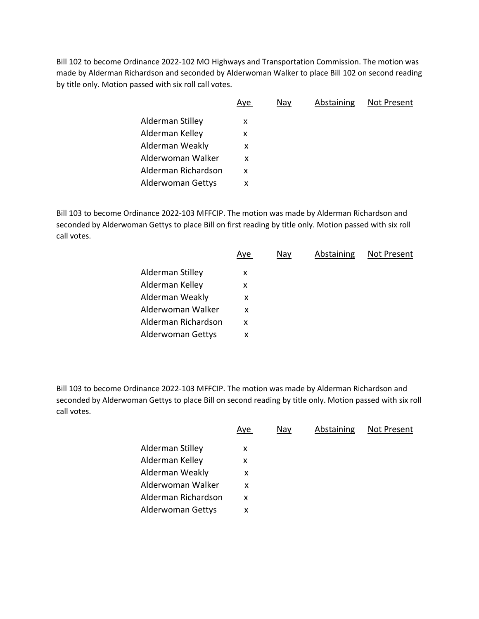Bill 102 to become Ordinance 2022-102 MO Highways and Transportation Commission. The motion was made by Alderman Richardson and seconded by Alderwoman Walker to place Bill 102 on second reading by title only. Motion passed with six roll call votes.

|                     | Aye | Nay | Abstaining | Not Present |
|---------------------|-----|-----|------------|-------------|
| Alderman Stilley    | x   |     |            |             |
| Alderman Kelley     | x   |     |            |             |
| Alderman Weakly     | x   |     |            |             |
| Alderwoman Walker   | x   |     |            |             |
| Alderman Richardson | x   |     |            |             |
| Alderwoman Gettys   | x   |     |            |             |

Bill 103 to become Ordinance 2022-103 MFFCIP. The motion was made by Alderman Richardson and seconded by Alderwoman Gettys to place Bill on first reading by title only. Motion passed with six roll call votes.

|                     | <u>Aye</u> | Nay | Abstaining | Not Present |
|---------------------|------------|-----|------------|-------------|
| Alderman Stilley    | х          |     |            |             |
| Alderman Kelley     | х          |     |            |             |
| Alderman Weakly     | x          |     |            |             |
| Alderwoman Walker   | x          |     |            |             |
| Alderman Richardson | X          |     |            |             |
| Alderwoman Gettys   | x          |     |            |             |
|                     |            |     |            |             |

Bill 103 to become Ordinance 2022-103 MFFCIP. The motion was made by Alderman Richardson and seconded by Alderwoman Gettys to place Bill on second reading by title only. Motion passed with six roll call votes.

|                     | Aye | Nay | Abstaining | Not Present |
|---------------------|-----|-----|------------|-------------|
| Alderman Stilley    | X   |     |            |             |
| Alderman Kelley     | x   |     |            |             |
| Alderman Weakly     | x   |     |            |             |
| Alderwoman Walker   | x   |     |            |             |
| Alderman Richardson | X   |     |            |             |
| Alderwoman Gettys   | х   |     |            |             |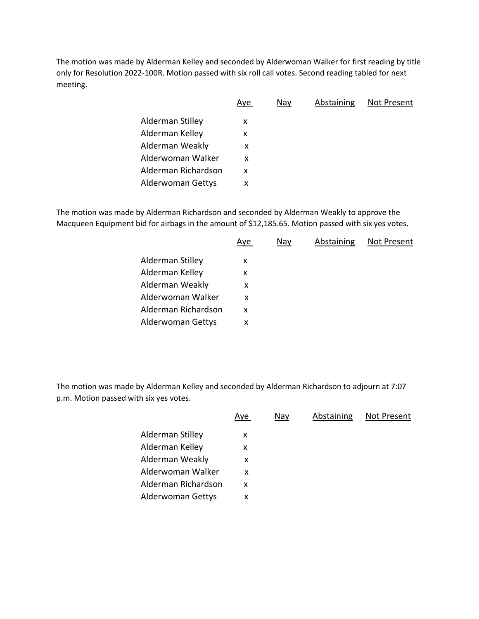The motion was made by Alderman Kelley and seconded by Alderwoman Walker for first reading by title only for Resolution 2022-100R. Motion passed with six roll call votes. Second reading tabled for next meeting.

|                     | <u>Aye</u> | Nay | Abstaining | Not Present |
|---------------------|------------|-----|------------|-------------|
| Alderman Stilley    | X          |     |            |             |
| Alderman Kelley     | x          |     |            |             |
| Alderman Weakly     | X          |     |            |             |
| Alderwoman Walker   | X          |     |            |             |
| Alderman Richardson | x          |     |            |             |
| Alderwoman Gettys   | х          |     |            |             |
|                     |            |     |            |             |

The motion was made by Alderman Richardson and seconded by Alderman Weakly to approve the Macqueen Equipment bid for airbags in the amount of \$12,185.65. Motion passed with six yes votes.

|                     | <u>Aye</u> | Nay | Abstaining | Not Present |
|---------------------|------------|-----|------------|-------------|
| Alderman Stilley    | х          |     |            |             |
| Alderman Kelley     | х          |     |            |             |
| Alderman Weakly     | X          |     |            |             |
| Alderwoman Walker   | X          |     |            |             |
| Alderman Richardson | X          |     |            |             |
| Alderwoman Gettys   | x          |     |            |             |

The motion was made by Alderman Kelley and seconded by Alderman Richardson to adjourn at 7:07 p.m. Motion passed with six yes votes.

| Alderman Stilley<br>X<br>Alderman Kelley<br>x<br>Alderman Weakly<br>X<br>Alderwoman Walker<br>x | Not Present |
|-------------------------------------------------------------------------------------------------|-------------|
|                                                                                                 |             |
|                                                                                                 |             |
|                                                                                                 |             |
|                                                                                                 |             |
| Alderman Richardson<br>x                                                                        |             |
| Alderwoman Gettys<br>x                                                                          |             |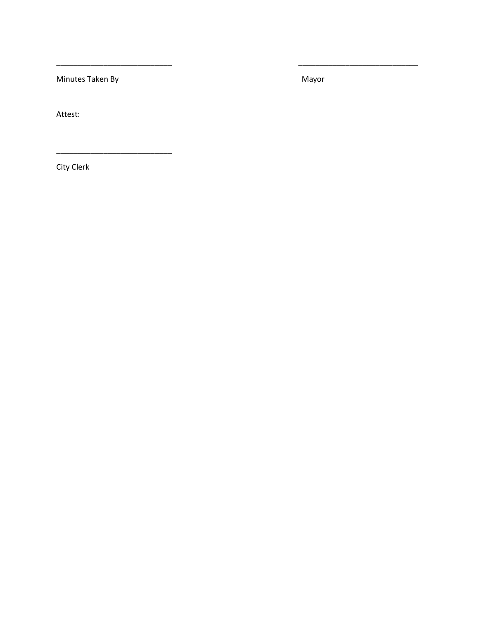Minutes Taken By

Mayor

Attest:

City Clerk